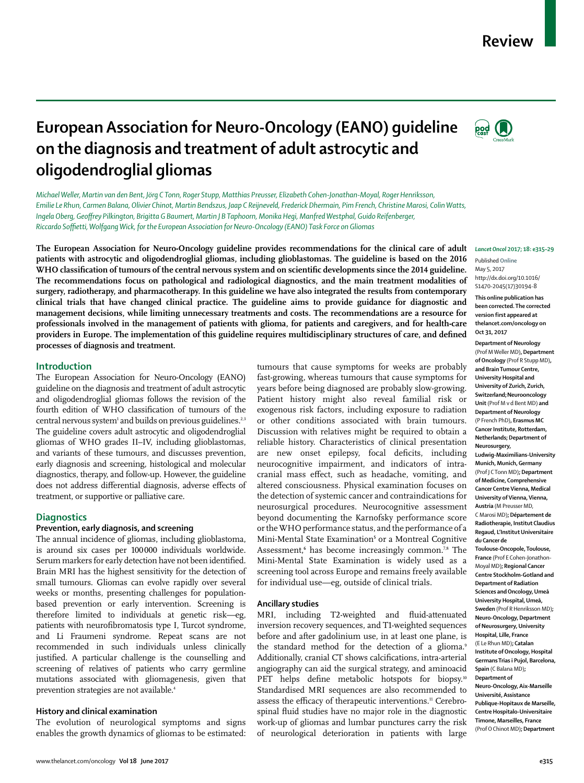# **Review**

# **European Association for Neuro-Oncology (EANO) guideline on the diagnosis and treatment of adult astrocytic and oligodendroglial gliomas**



*Michael Weller, Martin van den Bent, Jörg C Tonn, Roger Stupp, Matthias Preusser, Elizabeth Cohen-Jonathan-Moyal, Roger Henriksson, Emilie Le Rhun, Carmen Balana, Olivier Chinot, Martin Bendszus, Jaap C Reijneveld, Frederick Dhermain, Pim French, Christine Marosi, Colin Watts, Ingela Oberg, Geoffrey Pilkington, Brigitta G Baumert, Martin J B Taphoorn, Monika Hegi, Manfred Westphal, Guido Reifenberger, Riccardo Soffietti, Wolfgang Wick, for the European Association for Neuro-Oncology (EANO) Task Force on Gliomas*

**The European Association for Neuro-Oncology guideline provides recommendations for the clinical care of adult patients with astrocytic and oligodendroglial gliomas, including glioblastomas. The guideline is based on the 2016 WHO classification of tumours of the central nervous system and on scientific developments since the 2014 guideline. The recommendations focus on pathological and radiological diagnostics, and the main treatment modalities of surgery, radiotherapy, and pharmacotherapy. In this guideline we have also integrated the results from contemporary clinical trials that have changed clinical practice. The guideline aims to provide guidance for diagnostic and management decisions, while limiting unnecessary treatments and costs. The recommendations are a resource for professionals involved in the management of patients with glioma, for patients and caregivers, and for health-care providers in Europe. The implementation of this guideline requires multidisciplinary structures of care, and defined processes of diagnosis and treatment.**

### **Introduction**

The European Association for Neuro-Oncology (EANO) guideline on the diagnosis and treatment of adult astrocytic and oligodendroglial gliomas follows the revision of the fourth edition of WHO classification of tumours of the central nervous system $^{\scriptscriptstyle 1}$  and builds on previous guidelines. $^{\scriptscriptstyle 2,3}$ The guideline covers adult astrocytic and oligodendroglial gliomas of WHO grades II–IV, including glioblastomas, and variants of these tumours, and discusses prevention, early diagnosis and screening, histological and molecular diagnostics, therapy, and follow-up. However, the guideline does not address differential diagnosis, adverse effects of treatment, or supportive or palliative care.

# **Diagnostics**

# **Prevention, early diagnosis, and screening**

The annual incidence of gliomas, including glioblastoma, is around six cases per 100000 individuals worldwide. Serum markers for early detection have not been identified. Brain MRI has the highest sensitivity for the detection of small tumours. Gliomas can evolve rapidly over several weeks or months, presenting challenges for populationbased prevention or early intervention. Screening is therefore limited to individuals at genetic risk—eg, patients with neurofibromatosis type I, Turcot syndrome, and Li Fraumeni syndrome. Repeat scans are not recommended in such individuals unless clinically justified. A particular challenge is the counselling and screening of relatives of patients who carry germline mutations associated with gliomagenesis, given that prevention strategies are not available.<sup>4</sup>

# **History and clinical examination**

The evolution of neurological symptoms and signs enables the growth dynamics of gliomas to be estimated: tumours that cause symptoms for weeks are probably fast-growing, whereas tumours that cause symptoms for years before being diagnosed are probably slow-growing. Patient history might also reveal familial risk or exogenous risk factors, including exposure to radiation or other conditions associated with brain tumours. Discussion with relatives might be required to obtain a reliable history. Characteristics of clinical presentation are new onset epilepsy, focal deficits, including neurocognitive impairment, and indicators of intracranial mass effect, such as headache, vomiting, and altered consciousness. Physical examination focuses on the detection of systemic cancer and contraindications for neurosurgical procedures. Neurocognitive assessment beyond documenting the Karnofsky performance score or the WHO performance status, and the performance of a Mini-Mental State Examination<sup>5</sup> or a Montreal Cognitive Assessment,<sup>6</sup> has become increasingly common.<sup>7,8</sup> The Mini-Mental State Examination is widely used as a screening tool across Europe and remains freely available for individual use—eg, outside of clinical trials.

### **Ancillary studies**

MRI, including T2-weighted and fluid-attenuated inversion recovery sequences, and T1-weighted sequences before and after gadolinium use, in at least one plane, is the standard method for the detection of a glioma.<sup>9</sup> Additionally, cranial CT shows calcifications, intra-arterial angiography can aid the surgical strategy, and aminoacid PET helps define metabolic hotspots for biopsy.<sup>10</sup> Standardised MRI sequences are also recommended to assess the efficacy of therapeutic interventions.<sup>11</sup> Cerebrospinal fluid studies have no major role in the diagnostic work-up of gliomas and lumbar punctures carry the risk of neurological deterioration in patients with large

# *Lancet Oncol* **2017; 18: e315–29**

Published **Online** May 5, 2017 http://dx.doi.org/10.1016/ S1470-2045(17)30194-8

**This online publication has been corrected. The corrected version first appeared at thelancet.com/oncology on Oct 31, 2017**

**Department of Neurology**  (Prof M Weller MD)**, Department of Oncology** (Prof R Stupp MD)**, and Brain Tumour Centre, University Hospital and University of Zurich, Zurich, Switzerland;Neurooncology Unit** (Prof M v d Bent MD) **and Department of Neurology**  (P French PhD)**, Erasmus MC Cancer Institute, Rotterdam, Netherlands; Department of Neurosurgery, Ludwig-Maximilians-University Munich, Munich, Germany**

(Prof J C Tonn MD)**; Department of Medicine, Comprehensive Cancer Centre Vienna, Medical University of Vienna, Vienna, Austria** (M Preusser MD, C Marosi MD)**; Département de Radiotherapie, Institut Claudius Regaud, L'Institut Universitaire** 

**du Cancer de Toulouse-Oncopole, Toulouse, France** (Prof E Cohen-Jonathon-Moyal MD)**; Regional Cancer Centre Stockholm-Gotland and Department of Radiation Sciences and Oncology, Umeå University Hospital, Umeå, Sweden** (Prof R Henriksson MD)**; Neuro-Oncology, Department of Neurosurgery, University Hospital, Lille, France** (E Le Rhun MD)**; Catalan Institute of Oncology, Hospital Germans Trias i Pujol, Barcelona, Spain** (C Balana MD)**; Department of Neuro-Oncology, Aix-Marseille Université, Assistance Publique-Hopitaux de Marseille, Centre Hospitalo-Universitaire Timone, Marseilles, France**

(Prof O Chinot MD)**; Department**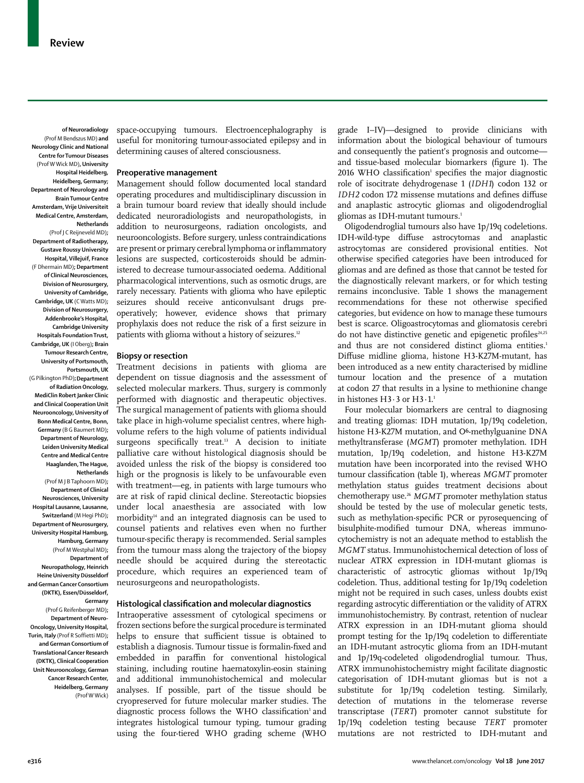**of Neuroradiology**  (Prof M Bendszus MD) **and Neurology Clinic and National Centre for Tumour Diseases**  (Prof W Wick MD)**, University Hospital Heidelberg, Heidelberg, Germany; Department of Neurology and Brain Tumour Centre Amsterdam, Vrije Universiteit Medical Centre, Amsterdam, Netherlands**  (Prof J C Reijneveld MD)**; Department of Radiotherapy, Gustave Roussy University Hospital, Villejuif, France**  (F Dhermain MD)**; Department of Clinical Neurosciences, Division of Neurosurgery, University of Cambridge, Cambridge, UK** (C Watts MD)**; Division of Neurosurgery, Addenbrooke's Hospital, Cambridge University Hospitals Foundation Trust, Cambridge, UK** (I Oberg)**; Brain Tumour Research Centre, University of Portsmouth, Portsmouth, UK** (G Pilkington PhD)**;Department of Radiation Oncology, MediClin Robert Janker Clinic and Clinical Cooperation Unit Neurooncology, University of Bonn Medical Centre, Bonn, Germany** (B G Baumert MD)**; Department of Neurology, Leiden University Medical Centre and Medical Centre Haaglanden, The Hague, Netherlands** (Prof M J B Taphoorn MD)**; Department of Clinical Neurosciences, University Hospital Lausanne, Lausanne, Switzerland** (M Hegi PhD)**; Department of Neurosurgery, University Hospital Hamburg, Hamburg, Germany** (Prof M Westphal MD)**;**

**Department of Neuropathology, Heinrich Heine University Düsseldorf and German Cancer Consortium (DKTK), Essen/Düsseldorf, Germany** 

(Prof G Reifenberger MD)**; Department of Neuro-Oncology, University Hospital, Turin, Italy** (Prof R Soffietti MD)**; and German Consortium of Translational Cancer Research (DKTK), Clinical Cooperation Unit Neurooncology, German Cancer Research Center, Heidelberg, Germany** (Prof W Wick) space-occupying tumours. Electroencephalography is useful for monitoring tumour-associated epilepsy and in determining causes of altered consciousness.

#### **Preoperative management**

Management should follow documented local standard operating procedures and multidisciplinary discussion in a brain tumour board review that ideally should include dedicated neuroradiologists and neuropathologists, in addition to neurosurgeons, radiation oncologists, and neurooncologists. Before surgery, unless contraindications are present or primary cerebral lymphoma or inflammatory lesions are suspected, corticosteroids should be administered to decrease tumour-associated oedema. Additional pharmacological interventions, such as osmotic drugs, are rarely necessary. Patients with glioma who have epileptic seizures should receive anticonvulsant drugs preoperatively; however, evidence shows that primary prophylaxis does not reduce the risk of a first seizure in patients with glioma without a history of seizures.<sup>12</sup>

#### **Biopsy or resection**

Treatment decisions in patients with glioma are dependent on tissue diagnosis and the assessment of selected molecular markers. Thus, surgery is commonly performed with diagnostic and therapeutic objectives. The surgical management of patients with glioma should take place in high-volume specialist centres, where highvolume refers to the high volume of patients individual surgeons specifically treat.<sup>13</sup> A decision to initiate palliative care without histological diagnosis should be avoided unless the risk of the biopsy is considered too high or the prognosis is likely to be unfavourable even with treatment—eg, in patients with large tumours who are at risk of rapid clinical decline. Stereotactic biopsies under local anaesthesia are associated with low morbidity<sup>14</sup> and an integrated diagnosis can be used to counsel patients and relatives even when no further tumour-specific therapy is recommended. Serial samples from the tumour mass along the trajectory of the biopsy needle should be acquired during the stereotactic procedure, which requires an experienced team of neurosurgeons and neuropathologists.

#### **Histological classification and molecular diagnostics**

Intraoperative assessment of cytological specimens or frozen sections before the surgical procedure is terminated helps to ensure that sufficient tissue is obtained to establish a diagnosis. Tumour tissue is formalin-fixed and embedded in paraffin for conventional histological staining, including routine haematoxylin-eosin staining and additional immunohistochemical and molecular analyses. If possible, part of the tissue should be cryopreserved for future molecular marker studies. The diagnostic process follows the WHO classification<sup>1</sup> and integrates histological tumour typing, tumour grading using the four-tiered WHO grading scheme (WHO

grade I–IV)—designed to provide clinicians with information about the biological behaviour of tumours and consequently the patient's prognosis and outcome and tissue-based molecular biomarkers (figure 1). The  $2016$  WHO classification<sup>1</sup> specifies the major diagnostic role of isocitrate dehydrogenase 1 (*IDH1*) codon 132 or *IDH2* codon 172 missense mutations and defines diffuse and anaplastic astrocytic gliomas and oligodendroglial gliomas as IDH-mutant tumours.<sup>1</sup>

Oligodendroglial tumours also have 1p/19q codeletions. IDH-wild-type diffuse astrocytomas and anaplastic astrocytomas are considered provisional entities. Not otherwise specified categories have been introduced for gliomas and are defined as those that cannot be tested for the diagnostically relevant markers, or for which testing remains inconclusive. Table 1 shows the management recommendations for these not otherwise specified categories, but evidence on how to manage these tumours best is scarce. Oligoastrocytomas and gliomatosis cerebri do not have distinctive genetic and epigenetic profiles<sup>24,25</sup> and thus are not considered distinct glioma entities.<sup>1</sup> Diffuse midline glioma, histone H3-K27M-mutant, has been introduced as a new entity characterised by midline tumour location and the presence of a mutation at codon 27 that results in a lysine to methionine change in histones  $H3.3$  or  $H3.1<sup>1</sup>$ 

Four molecular biomarkers are central to diagnosing and treating gliomas: IDH mutation, 1p/19q codeletion, histone H3-K27M mutation, and O<sup>6</sup>-methylguanine DNA methyltransferase (*MGMT*) promoter methylation. IDH mutation, 1p/19q codeletion, and histone H3-K27M mutation have been incorporated into the revised WHO tumour classification (table 1), whereas *MGMT* promoter methylation status guides treatment decisions about chemotherapy use.26 *MGMT* promoter methylation status should be tested by the use of molecular genetic tests, such as methylation-specific PCR or pyrosequencing of bisulphite-modified tumour DNA, whereas immunocytochemistry is not an adequate method to establish the *MGMT* status. Immunohistochemical detection of loss of nuclear ATRX expression in IDH-mutant gliomas is characteristic of astrocytic gliomas without 1p/19q codeletion. Thus, additional testing for 1p/19q codeletion might not be required in such cases, unless doubts exist regarding astrocytic differentiation or the validity of ATRX immunohistochemistry. By contrast, retention of nuclear ATRX expression in an IDH-mutant glioma should prompt testing for the 1p/19q codeletion to differentiate an IDH-mutant astrocytic glioma from an IDH-mutant and 1p/19q-codeleted oligodendroglial tumour. Thus, ATRX immunohistochemistry might facilitate diagnostic categorisation of IDH-mutant gliomas but is not a substitute for 1p/19q codeletion testing. Similarly, detection of mutations in the telomerase reverse transcriptase (*TERT*) promoter cannot substitute for 1p/19q codeletion testing because *TERT* promoter mutations are not restricted to IDH-mutant and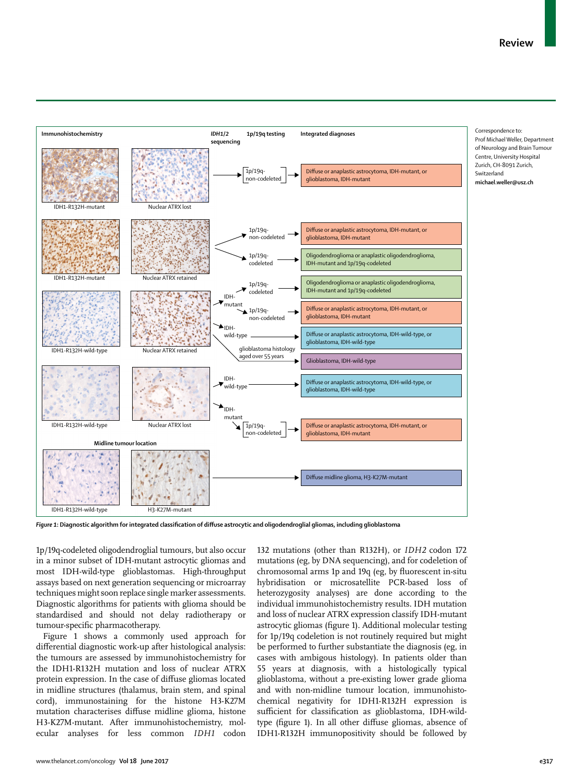

*Figure 1***: Diagnostic algorithm for integrated classification of diffuse astrocytic and oligodendroglial gliomas, including glioblastoma**

1p/19q-codeleted oligodendroglial tumours, but also occur in a minor subset of IDH-mutant astrocytic gliomas and most IDH-wild-type glioblastomas. High-throughput assays based on next generation sequencing or microarray techniques might soon replace single marker assessments. Diagnostic algorithms for patients with glioma should be standardised and should not delay radiotherapy or tumour-specific pharmacotherapy.

Figure 1 shows a commonly used approach for differential diagnostic work-up after histological analysis: the tumours are assessed by immunohistochemistry for the IDH1-R132H mutation and loss of nuclear ATRX protein expression. In the case of diffuse gliomas located in midline structures (thalamus, brain stem, and spinal cord), immunostaining for the histone H3-K27M mutation characterises diffuse midline glioma, histone H3-K27M-mutant. After immunohistochemistry, molecular analyses for less common *IDH1* codon

132 mutations (other than R132H), or *IDH2* codon 172 mutations (eg, by DNA sequencing), and for codeletion of chromosomal arms 1p and 19q (eg, by fluorescent in-situ hybridisation or microsatellite PCR-based loss of heterozygosity analyses) are done according to the individual immunohistochemistry results. IDH mutation and loss of nuclear ATRX expression classify IDH-mutant astrocytic gliomas (figure 1). Additional molecular testing for 1p/19q codeletion is not routinely required but might be performed to further substantiate the diagnosis (eg, in cases with ambigous histology). In patients older than 55 years at diagnosis, with a histologically typical glioblastoma, without a pre-existing lower grade glioma and with non-midline tumour location, immunohistochemical negativity for IDH1-R132H expression is sufficient for classification as glioblastoma, IDH-wildtype (figure 1). In all other diffuse gliomas, absence of IDH1-R132H immunopositivity should be followed by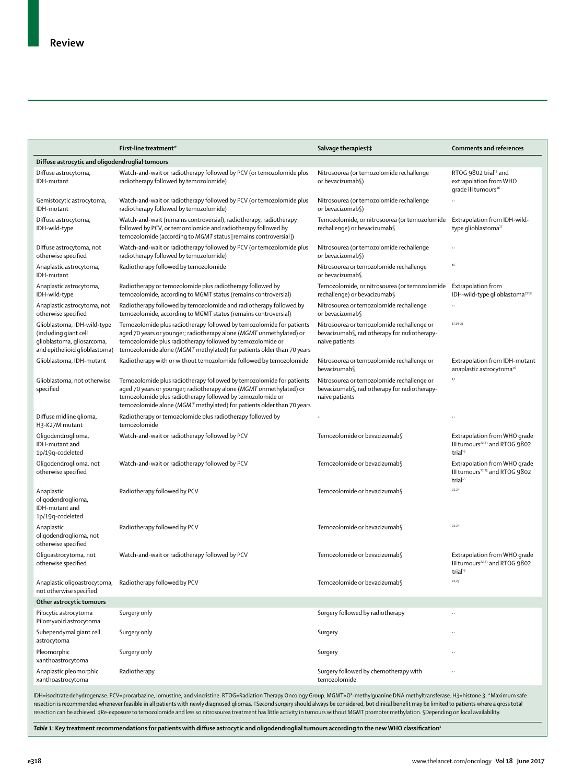|                                                                                                                                                                                                          | First-line treatment*                                                                                                                                                                                                                                                              | Salvage therapies†‡                                                                                                       | <b>Comments and references</b>                                                                    |  |
|----------------------------------------------------------------------------------------------------------------------------------------------------------------------------------------------------------|------------------------------------------------------------------------------------------------------------------------------------------------------------------------------------------------------------------------------------------------------------------------------------|---------------------------------------------------------------------------------------------------------------------------|---------------------------------------------------------------------------------------------------|--|
| Diffuse astrocytic and oligodendroglial tumours                                                                                                                                                          |                                                                                                                                                                                                                                                                                    |                                                                                                                           |                                                                                                   |  |
| Diffuse astrocytoma,<br>IDH-mutant                                                                                                                                                                       | Watch-and-wait or radiotherapy followed by PCV (or temozolomide plus<br>radiotherapy followed by temozolomide)                                                                                                                                                                     | Nitrosourea (or temozolomide rechallenge<br>or bevacizumab§)                                                              | RTOG 9802 trial <sup>15</sup> and<br>extrapolation from WHO<br>grade III tumours <sup>16</sup>    |  |
| Gemistocytic astrocytoma,<br>IDH-mutant                                                                                                                                                                  | Watch-and-wait or radiotherapy followed by PCV (or temozolomide plus<br>radiotherapy followed by temozolomide)                                                                                                                                                                     | Nitrosourea (or temozolomide rechallenge<br>or bevacizumab§)                                                              | $\ddot{\phantom{a}}$                                                                              |  |
| Diffuse astrocytoma,<br>IDH-wild-type                                                                                                                                                                    | Watch-and-wait (remains controversial), radiotherapy, radiotherapy<br>followed by PCV, or temozolomide and radiotherapy followed by<br>temozolomide (according to MGMT status [remains controversial])                                                                             | Temozolomide, or nitrosourea (or temozolomide<br>rechallenge) or bevacizumab§                                             | Extrapolation from IDH-wild-<br>type qlioblastoma <sup>17</sup>                                   |  |
| Diffuse astrocytoma, not<br>otherwise specified                                                                                                                                                          | Watch-and-wait or radiotherapy followed by PCV (or temozolomide plus<br>radiotherapy followed by temozolomide)                                                                                                                                                                     | Nitrosourea (or temozolomide rechallenge<br>or bevacizumab§)                                                              |                                                                                                   |  |
| Anaplastic astrocytoma,<br>IDH-mutant                                                                                                                                                                    | Radiotherapy followed by temozolomide                                                                                                                                                                                                                                              | Nitrosourea or temozolomide rechallenge<br>or bevacizumab§                                                                | 16                                                                                                |  |
| Anaplastic astrocytoma,<br>IDH-wild-type                                                                                                                                                                 | Radiotherapy or temozolomide plus radiotherapy followed by<br>temozolomide, according to MGMT status (remains controversial)                                                                                                                                                       | Temozolomide, or nitrosourea (or temozolomide<br>rechallenge) or bevacizumab§                                             | Extrapolation from<br>IDH-wild-type glioblastoma <sup>17,18</sup>                                 |  |
| Anaplastic astrocytoma, not<br>otherwise specified                                                                                                                                                       | Radiotherapy followed by temozolomide and radiotherapy followed by<br>temozolomide, according to MGMT status (remains controversial)                                                                                                                                               | Nitrosourea or temozolomide rechallenge<br>or bevacizumab§                                                                | $\ddot{\phantom{a}}$                                                                              |  |
| Glioblastoma, IDH-wild-type<br>(including giant cell<br>glioblastoma, gliosarcoma,<br>and epithelioid glioblastoma)                                                                                      | Temozolomide plus radiotherapy followed by temozolomide for patients<br>aqed 70 years or younger; radiotherapy alone (MGMT unmethylated) or<br>temozolomide plus radiotherapy followed by temozolomide or<br>temozolomide alone (MGMT methylated) for patients older than 70 years | Nitrosourea or temozolomide rechallenge or<br>bevacizumab <sub>S</sub> , radiotherapy for radiotherapy-<br>naive patients | 17,19-21                                                                                          |  |
| Glioblastoma, IDH-mutant                                                                                                                                                                                 | Radiotherapy with or without temozolomide followed by temozolomide                                                                                                                                                                                                                 | Nitrosourea or temozolomide rechallenge or<br>bevacizumab                                                                 | Extrapolation from IDH-mutant<br>anaplastic astrocytoma <sup>16</sup>                             |  |
| Glioblastoma, not otherwise<br>specified                                                                                                                                                                 | Temozolomide plus radiotherapy followed by temozolomide for patients<br>aged 70 years or younger; radiotherapy alone (MGMT unmethylated) or<br>temozolomide plus radiotherapy followed by temozolomide or<br>temozolomide alone (MGMT methylated) for patients older than 70 years | Nitrosourea or temozolomide rechallenge or<br>bevacizumab <sub>, radiotherapy</sub> for radiotherapy-<br>naive patients   | $17\,$                                                                                            |  |
| Diffuse midline glioma,<br>H3-K27M mutant                                                                                                                                                                | Radiotherapy or temozolomide plus radiotherapy followed by<br>temozolomide                                                                                                                                                                                                         |                                                                                                                           |                                                                                                   |  |
| Oligodendroglioma,<br>IDH-mutant and<br>1p/19q-codeleted                                                                                                                                                 | Watch-and-wait or radiotherapy followed by PCV                                                                                                                                                                                                                                     | Temozolomide or bevacizumab§                                                                                              | Extrapolation from WHO grade<br>III tumours <sup>22,23</sup> and RTOG 9802<br>trial <sup>15</sup> |  |
| Oligodendroglioma, not<br>otherwise specified                                                                                                                                                            | Watch-and-wait or radiotherapy followed by PCV                                                                                                                                                                                                                                     | Temozolomide or bevacizumab§                                                                                              | Extrapolation from WHO grade<br>III tumours <sup>22,23</sup> and RTOG 9802<br>trial <sup>15</sup> |  |
| Anaplastic<br>oligodendroglioma,<br>IDH-mutant and<br>1p/19q-codeleted                                                                                                                                   | Radiotherapy followed by PCV                                                                                                                                                                                                                                                       | Temozolomide or bevacizumab§                                                                                              | 22,23                                                                                             |  |
| Anaplastic<br>oligodendroglioma, not<br>otherwise specified                                                                                                                                              | Radiotherapy followed by PCV                                                                                                                                                                                                                                                       | Temozolomide or bevacizumab§                                                                                              | 22,23                                                                                             |  |
| Oligoastrocytoma, not<br>otherwise specified                                                                                                                                                             | Watch-and-wait or radiotherapy followed by PCV                                                                                                                                                                                                                                     | Temozolomide or bevacizumab§                                                                                              | Extrapolation from WHO grade<br>III tumours <sup>22,23</sup> and RTOG 9802<br>trial <sup>15</sup> |  |
| Anaplastic oligoastrocytoma,<br>not otherwise specified                                                                                                                                                  | Radiotherapy followed by PCV                                                                                                                                                                                                                                                       | Temozolomide or bevacizumab§                                                                                              | 22,23                                                                                             |  |
| Other astrocytic tumours                                                                                                                                                                                 |                                                                                                                                                                                                                                                                                    |                                                                                                                           |                                                                                                   |  |
| Pilocytic astrocytoma<br>Pilomyxoid astrocytoma                                                                                                                                                          | Surgery only                                                                                                                                                                                                                                                                       | Surgery followed by radiotherapy                                                                                          |                                                                                                   |  |
| Subependymal giant cell<br>astrocytoma                                                                                                                                                                   | Surgery only                                                                                                                                                                                                                                                                       | Surgery                                                                                                                   |                                                                                                   |  |
| Pleomorphic<br>xanthoastrocytoma                                                                                                                                                                         | Surgery only                                                                                                                                                                                                                                                                       | Surgery                                                                                                                   |                                                                                                   |  |
| Anaplastic pleomorphic<br>xanthoastrocytoma                                                                                                                                                              | Radiotherapy                                                                                                                                                                                                                                                                       | Surgery followed by chemotherapy with<br>temozolomide                                                                     |                                                                                                   |  |
| IDH=isocitrate dehydrogenase. PCV=procarbazine, lomustine, and vincristine. RTOG=Radiation Therapy Oncology Group. MGMT=0 <sup>6</sup> -methylguanine DNA methyltransferase. H3=histone 3. *Maximum safe |                                                                                                                                                                                                                                                                                    |                                                                                                                           |                                                                                                   |  |

resection is recommended whenever feasible in all patients with newly diagnosed gliomas. †Second surgery should always be considered, but clinical benefit may be limited to patients where a gross total resection can be achieved. ‡Re-exposure to temozolomide and less so nitrosourea treatment has little activity in tumours without *MGMT* promoter methylation. §Depending on local availability.

Table 1: Key treatment recommendations for patients with diffuse astrocytic and oligodendroglial tumours according to the new WHO classification<sup>1</sup>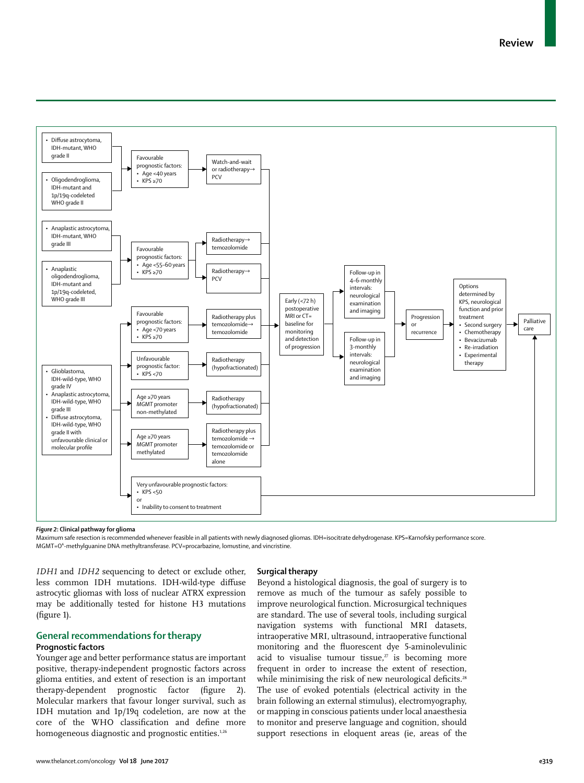

#### *Figure 2***: Clinical pathway for glioma**

Maximum safe resection is recommended whenever feasible in all patients with newly diagnosed gliomas. IDH=isocitrate dehydrogenase. KPS=Karnofsky performance score. MGMT=O<sup>6</sup>-methylguanine DNA methyltransferase. PCV=procarbazine, lomustine, and vincristine.

*IDH1* and *IDH2* sequencing to detect or exclude other, less common IDH mutations. IDH-wild-type diffuse astrocytic gliomas with loss of nuclear ATRX expression may be additionally tested for histone H3 mutations (figure 1).

# **General recommendations for therapy Prognostic factors**

Younger age and better performance status are important positive, therapy-independent prognostic factors across glioma entities, and extent of resection is an important therapy-dependent prognostic factor (figure 2). Molecular markers that favour longer survival, such as IDH mutation and 1p/19q codeletion, are now at the core of the WHO classification and define more homogeneous diagnostic and prognostic entities.<sup>1,26</sup>

# **Surgical therapy**

Beyond a histological diagnosis, the goal of surgery is to remove as much of the tumour as safely possible to improve neurological function. Microsurgical techniques are standard. The use of several tools, including surgical navigation systems with functional MRI datasets, intraoperative MRI, ultrasound, intraoperative functional monitoring and the fluorescent dye 5-aminolevulinic acid to visualise tumour tissue, $z$  is becoming more frequent in order to increase the extent of resection, while minimising the risk of new neurological deficits.<sup>28</sup> The use of evoked potentials (electrical activity in the brain following an external stimulus), electromyography, or mapping in conscious patients under local anaesthesia to monitor and preserve language and cognition, should support resections in eloquent areas (ie, areas of the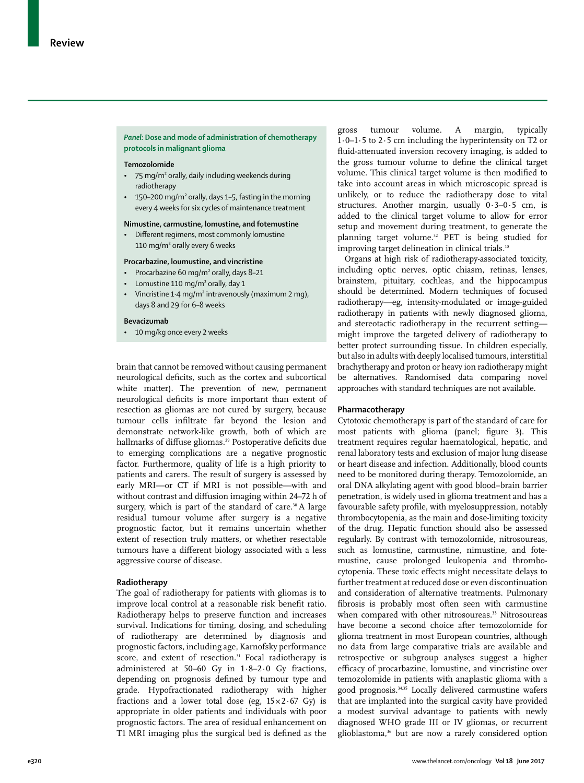*Panel:* **Dose and mode of administration of chemotherapy protocols in malignant glioma**

#### **Temozolomide**

- 75 mg/m<sup>2</sup> orally, daily including weekends during radiotherapy
- 150-200 mg/m<sup>2</sup> orally, days 1-5, fasting in the morning every 4 weeks for six cycles of maintenance treatment

#### **Nimustine, carmustine, lomustine, and fotemustine**

• Different regimens, most commonly lomustine 110 mg/m² orally every 6 weeks

#### **Procarbazine, loumustine, and vincristine**

- Procarbazine 60 mg/m<sup>2</sup> orally, days 8-21
- Lomustine 110 mg/m<sup>2</sup> orally, day 1
- Vincristine  $1.4 \text{ mg/m}^2$  intravenously (maximum 2 mg), days 8 and 29 for 6–8 weeks

### **Bevacizumab**

10 mg/kg once every 2 weeks

brain that cannot be removed without causing permanent neurological deficits, such as the cortex and subcortical white matter). The prevention of new, permanent neurological deficits is more important than extent of resection as gliomas are not cured by surgery, because tumour cells infiltrate far beyond the lesion and demonstrate network-like growth, both of which are hallmarks of diffuse gliomas.<sup>29</sup> Postoperative deficits due to emerging complications are a negative prognostic factor. Furthermore, quality of life is a high priority to patients and carers. The result of surgery is assessed by early MRI—or CT if MRI is not possible—with and without contrast and diffusion imaging within 24–72 h of surgery, which is part of the standard of care.<sup>30</sup> A large residual tumour volume after surgery is a negative prognostic factor, but it remains uncertain whether extent of resection truly matters, or whether resectable tumours have a different biology associated with a less aggressive course of disease.

# **Radiotherapy**

The goal of radiotherapy for patients with gliomas is to improve local control at a reasonable risk benefit ratio. Radiotherapy helps to preserve function and increases survival. Indications for timing, dosing, and scheduling of radiotherapy are determined by diagnosis and prognostic factors, including age, Karnofsky performance score, and extent of resection.<sup>31</sup> Focal radiotherapy is administered at 50–60 Gy in  $1.8-2.0$  Gy fractions, depending on prognosis defined by tumour type and grade. Hypofractionated radiotherapy with higher fractions and a lower total dose (eg,  $15 \times 2.67$  Gy) is appropriate in older patients and individuals with poor prognostic factors. The area of residual enhancement on T1 MRI imaging plus the surgical bed is defined as the gross tumour volume. A margin, typically 1·0–1·5 to 2·5 cm including the hyperintensity on T2 or fluid-attenuated inversion recovery imaging, is added to the gross tumour volume to define the clinical target volume. This clinical target volume is then modified to take into account areas in which microscopic spread is unlikely, or to reduce the radiotherapy dose to vital structures. Another margin, usually 0·3–0·5 cm, is added to the clinical target volume to allow for error setup and movement during treatment, to generate the planning target volume.<sup>32</sup> PET is being studied for improving target delineation in clinical trials.<sup>10</sup>

Organs at high risk of radiotherapy-associated toxicity, including optic nerves, optic chiasm, retinas, lenses, brainstem, pituitary, cochleas, and the hippocampus should be determined. Modern techniques of focused radiotherapy—eg, intensity-modulated or image-guided radiotherapy in patients with newly diagnosed glioma, and stereotactic radiotherapy in the recurrent setting might improve the targeted delivery of radiotherapy to better protect surrounding tissue. In children especially, but also in adults with deeply localised tumours, interstitial brachytherapy and proton or heavy ion radiotherapy might be alternatives. Randomised data comparing novel approaches with standard techniques are not available.

#### **Pharmacotherapy**

Cytotoxic chemotherapy is part of the standard of care for most patients with glioma (panel; figure 3). This treatment requires regular haematological, hepatic, and renal laboratory tests and exclusion of major lung disease or heart disease and infection. Additionally, blood counts need to be monitored during therapy. Temozolomide, an oral DNA alkylating agent with good blood–brain barrier penetration, is widely used in glioma treatment and has a favourable safety profile, with myelosuppression, notably thrombocytopenia, as the main and dose-limiting toxicity of the drug. Hepatic function should also be assessed regularly. By contrast with temozolomide, nitrosoureas, such as lomustine, carmustine, nimustine, and fotemustine, cause prolonged leukopenia and thrombocytopenia. These toxic effects might necessitate delays to further treatment at reduced dose or even discontinuation and consideration of alternative treatments. Pulmonary fibrosis is probably most often seen with carmustine when compared with other nitrosoureas.**33** Nitrosoureas have become a second choice after temozolomide for glioma treatment in most European countries, although no data from large comparative trials are available and retrospective or subgroup analyses suggest a higher efficacy of procarbazine, lomustine, and vincristine over temozolomide in patients with anaplastic glioma with a good prognosis.34,35 Locally delivered carmustine wafers that are implanted into the surgical cavity have provided a modest survival advantage to patients with newly diagnosed WHO grade III or IV gliomas, or recurrent glioblastoma,36 but are now a rarely considered option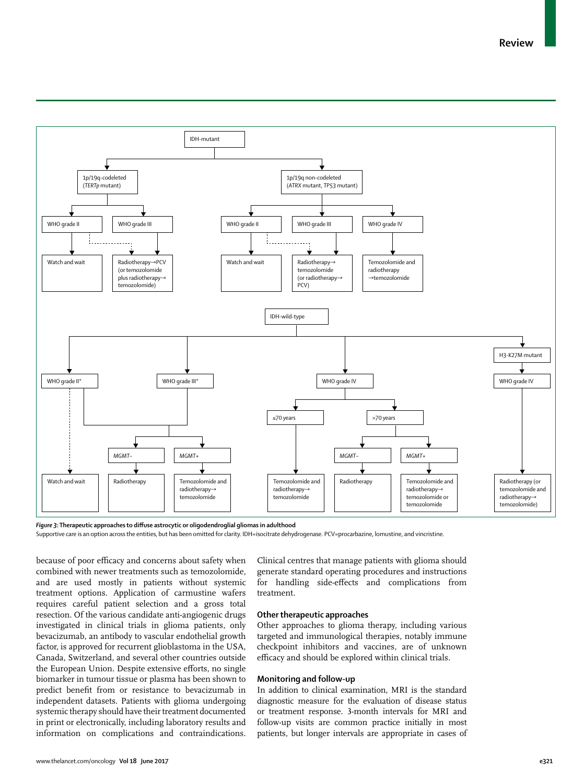**Review**



*Figure 3***: Therapeutic approaches to diffuse astrocytic or oligodendroglial gliomas in adulthood**

Supportive care is an option across the entities, but has been omitted for clarity. IDH=isocitrate dehydrogenase. PCV=procarbazine, lomustine, and vincristine.

because of poor efficacy and concerns about safety when combined with newer treatments such as temozolomide, and are used mostly in patients without systemic treatment options. Application of carmustine wafers requires careful patient selection and a gross total resection. Of the various candidate anti-angiogenic drugs investigated in clinical trials in glioma patients, only bevacizumab, an antibody to vascular endothelial growth factor, is approved for recurrent glioblastoma in the USA, Canada, Switzerland, and several other countries outside the European Union. Despite extensive efforts, no single biomarker in tumour tissue or plasma has been shown to predict benefit from or resistance to bevacizumab in independent datasets. Patients with glioma undergoing systemic therapy should have their treatment documented in print or electronically, including laboratory results and information on complications and contraindications.

Clinical centres that manage patients with glioma should generate standard operating procedures and instructions for handling side-effects and complications from treatment.

#### **Other therapeutic approaches**

Other approaches to glioma therapy, including various targeted and immunological therapies, notably immune checkpoint inhibitors and vaccines, are of unknown efficacy and should be explored within clinical trials.

## **Monitoring and follow-up**

In addition to clinical examination, MRI is the standard diagnostic measure for the evaluation of disease status or treatment response. 3-month intervals for MRI and follow-up visits are common practice initially in most patients, but longer intervals are appropriate in cases of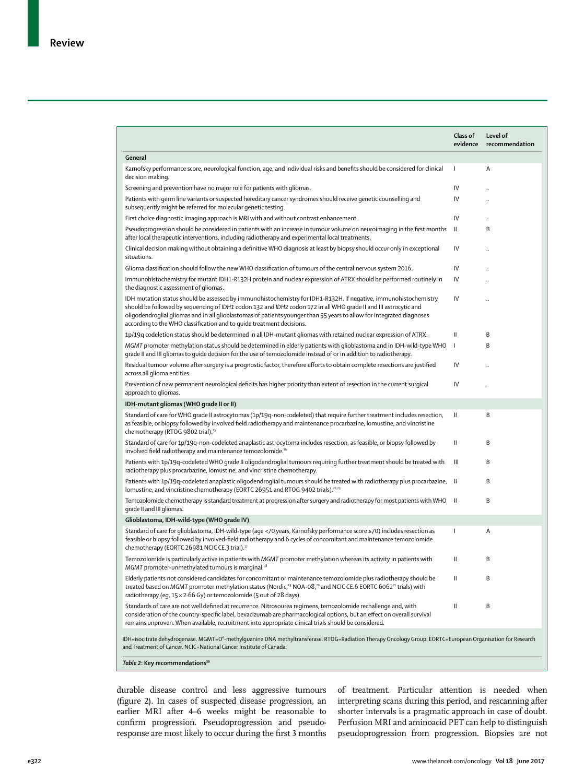|                                                                                                                                                                                                                                                                                                                                                                                                                                        | Class of<br>evidence | Level of<br>recommendation |  |  |  |
|----------------------------------------------------------------------------------------------------------------------------------------------------------------------------------------------------------------------------------------------------------------------------------------------------------------------------------------------------------------------------------------------------------------------------------------|----------------------|----------------------------|--|--|--|
| General                                                                                                                                                                                                                                                                                                                                                                                                                                |                      |                            |  |  |  |
| Karnofsky performance score, neurological function, age, and individual risks and benefits should be considered for clinical<br>decision making.                                                                                                                                                                                                                                                                                       | Т                    | Α                          |  |  |  |
| Screening and prevention have no major role for patients with gliomas.                                                                                                                                                                                                                                                                                                                                                                 | IV                   |                            |  |  |  |
| Patients with germ line variants or suspected hereditary cancer syndromes should receive genetic counselling and<br>subsequently might be referred for molecular genetic testing.                                                                                                                                                                                                                                                      | IV                   |                            |  |  |  |
| First choice diagnostic imaging approach is MRI with and without contrast enhancement.                                                                                                                                                                                                                                                                                                                                                 | IV                   | Ω,                         |  |  |  |
| Pseudoprogression should be considered in patients with an increase in tumour volume on neuroimaging in the first months<br>after local therapeutic interventions, including radiotherapy and experimental local treatments.                                                                                                                                                                                                           | Ш                    | B                          |  |  |  |
| Clinical decision making without obtaining a definitive WHO diagnosis at least by biopsy should occur only in exceptional<br>situations.                                                                                                                                                                                                                                                                                               | IV                   |                            |  |  |  |
| Glioma classification should follow the new WHO classification of tumours of the central nervous system 2016.                                                                                                                                                                                                                                                                                                                          | IV                   |                            |  |  |  |
| Immunohistochemistry for mutant IDH1-R132H protein and nuclear expression of ATRX should be performed routinely in<br>the diagnostic assessment of gliomas.                                                                                                                                                                                                                                                                            | IV                   |                            |  |  |  |
| IDH mutation status should be assessed by immunohistochemistry for IDH1-R132H. If negative, immunohistochemistry<br>should be followed by sequencing of IDH1 codon 132 and IDH2 codon 172 in all WHO grade II and III astrocytic and<br>oligodendroglial gliomas and in all glioblastomas of patients younger than 55 years to allow for integrated diagnoses<br>according to the WHO classification and to guide treatment decisions. | IV                   |                            |  |  |  |
| 1p/19q codeletion status should be determined in all IDH-mutant gliomas with retained nuclear expression of ATRX.                                                                                                                                                                                                                                                                                                                      | $\mathbf{I}$         | B                          |  |  |  |
| MGMT promoter methylation status should be determined in elderly patients with glioblastoma and in IDH-wild-type WHO<br>grade II and III gliomas to guide decision for the use of temozolomide instead of or in addition to radiotherapy.                                                                                                                                                                                              | -1                   | B                          |  |  |  |
| Residual tumour volume after surgery is a prognostic factor, therefore efforts to obtain complete resections are justified<br>across all glioma entities.                                                                                                                                                                                                                                                                              | IV                   |                            |  |  |  |
| Prevention of new permanent neurological deficits has higher priority than extent of resection in the current surgical<br>approach to gliomas.                                                                                                                                                                                                                                                                                         | IV                   |                            |  |  |  |
| IDH-mutant gliomas (WHO grade II or II)                                                                                                                                                                                                                                                                                                                                                                                                |                      |                            |  |  |  |
| Standard of care for WHO grade II astrocytomas (1p/19q-non-codeleted) that require further treatment includes resection,<br>as feasible, or biopsy followed by involved field radiotherapy and maintenance procarbazine, lomustine, and vincristine<br>chemotherapy (RTOG 9802 trial). <sup>15</sup>                                                                                                                                   | Ш                    | B                          |  |  |  |
| Standard of care for 1p/19q-non-codeleted anaplastic astrocytoma includes resection, as feasible, or biopsy followed by<br>involved field radiotherapy and maintenance temozolomide. <sup>16</sup>                                                                                                                                                                                                                                     | Ш                    | B                          |  |  |  |
| Patients with 1p/19q-codeleted WHO grade II oligodendroglial tumours requiring further treatment should be treated with<br>radiotherapy plus procarbazine, lomustine, and vincristine chemotherapy.                                                                                                                                                                                                                                    | Ш                    | B                          |  |  |  |
| Patients with 1p/19q-codeleted anaplastic oligodendroglial tumours should be treated with radiotherapy plus procarbazine,<br>lomustine, and vincristine chemotherapy (EORTC 26951 and RTOG 9402 trials). <sup>22,23</sup>                                                                                                                                                                                                              | - II                 | B                          |  |  |  |
| Temozolomide chemotherapy is standard treatment at progression after surgery and radiotherapy for most patients with WHO II<br>grade II and III gliomas.                                                                                                                                                                                                                                                                               |                      | B                          |  |  |  |
| Glioblastoma, IDH-wild-type (WHO grade IV)                                                                                                                                                                                                                                                                                                                                                                                             |                      |                            |  |  |  |
| Standard of care for glioblastoma, IDH-wild-type (age <70 years, Karnofsky performance score ≥70) includes resection as<br>feasible or biopsy followed by involved-field radiotherapy and 6 cycles of concomitant and maintenance temozolomide<br>chemotherapy (EORTC 26981 NCIC CE.3 trial). <sup>17</sup>                                                                                                                            | L                    | A                          |  |  |  |
| Temozolomide is particularly active in patients with MGMT promoter methylation whereas its activity in patients with<br>MGMT promoter-unmethylated tumours is marginal. <sup>38</sup>                                                                                                                                                                                                                                                  | Ш                    | B                          |  |  |  |
| Elderly patients not considered candidates for concomitant or maintenance temozolomide plus radiotherapy should be<br>treated based on MGMT promoter methylation status (Nordic, <sup>19</sup> NOA-08, <sup>20</sup> and NCIC CE.6 EORTC 6062 <sup>21</sup> trials) with<br>radiotherapy (eg, 15 × 2.66 Gy) or temozolomide (5 out of 28 days).                                                                                        | Ш                    | B                          |  |  |  |
| Standards of care are not well defined at recurrence. Nitrosourea regimens, temozolomide rechallenge and, with<br>consideration of the country-specific label, bevacizumab are pharmacological options, but an effect on overall survival<br>remains unproven. When available, recruitment into appropriate clinical trials should be considered.                                                                                      | Ш                    | В                          |  |  |  |
| IDH=isocitrate dehydrogenase. MGMT=0 <sup>6</sup> -methylguanine DNA methyltransferase. RTOG=Radiation Therapy Oncology Group. EORTC=European Organisation for Research<br>and Treatment of Cancer. NCIC=National Cancer Institute of Canada.                                                                                                                                                                                          |                      |                            |  |  |  |
| Table 2: Key recommendations <sup>39</sup>                                                                                                                                                                                                                                                                                                                                                                                             |                      |                            |  |  |  |

durable disease control and less aggressive tumours (figure 2). In cases of suspected disease progression, an earlier MRI after 4–6 weeks might be reasonable to confirm progression. Pseudoprogression and pseudoresponse are most likely to occur during the first 3 months

of treatment. Particular attention is needed when interpreting scans during this period, and rescanning after shorter intervals is a pragmatic approach in case of doubt. Perfusion MRI and aminoacid PET can help to distinguish pseudoprogression from progression. Biopsies are not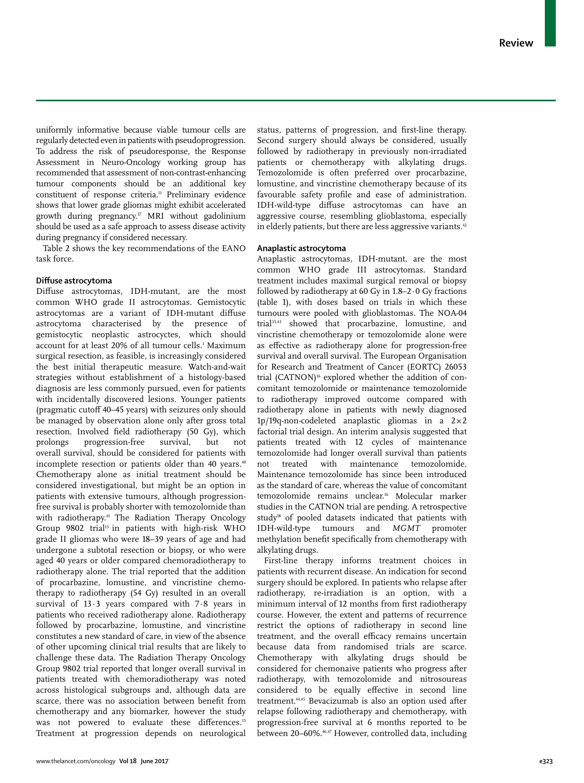uniformly informative because viable tumour cells are regularly detected even in patients with pseudoprogression. To address the risk of pseudoresponse, the Response Assessment in Neuro-Oncology working group has recommended that assessment of non-contrast-enhancing tumour components should be an additional key constituent of response criteria.<sup>11</sup> Preliminary evidence shows that lower grade gliomas might exhibit accelerated growth during pregnancy.<sup>37</sup> MRI without gadolinium should be used as a safe approach to assess disease activity during pregnancy if considered necessary.

Table 2 shows the key recommendations of the EANO task force.

# **Diffuse astrocytoma**

Diffuse astrocytomas, IDH-mutant, are the most common WHO grade II astrocytomas. Gemistocytic astrocytomas are a variant of IDH-mutant diffuse astrocytoma characterised by the presence of gemistocytic neoplastic astrocyctes, which should account for at least 20% of all tumour cells.<sup>1</sup> Maximum surgical resection, as feasible, is increasingly considered the best initial therapeutic measure. Watch-and-wait strategies without establishment of a histology-based diagnosis are less commonly pursued, even for patients with incidentally discovered lesions. Younger patients (pragmatic cutoff 40–45 years) with seizures only should be managed by observation alone only after gross total resection. Involved field radiotherapy (50 Gy), which prolongs progression-free survival, but not overall survival, should be considered for patients with incomplete resection or patients older than 40 years.<sup>40</sup> Chemotherapy alone as initial treatment should be considered investigational, but might be an option in patients with extensive tumours, although progressionfree survival is probably shorter with temozolomide than with radiotherapy.<sup>41</sup> The Radiation Therapy Oncology Group 9802 trial<sup>15</sup> in patients with high-risk WHO grade II gliomas who were 18–39 years of age and had undergone a subtotal resection or biopsy, or who were aged 40 years or older compared chemoradiotherapy to radiotherapy alone. The trial reported that the addition of procarbazine, lomustine, and vincristine chemotherapy to radiotherapy (54 Gy) resulted in an overall survival of 13.3 years compared with 7.8 years in patients who received radiotherapy alone. Radiotherapy followed by procarbazine, lomustine, and vincristine constitutes a new standard of care, in view of the absence of other upcoming clinical trial results that are likely to challenge these data. The Radiation Therapy Oncology Group 9802 trial reported that longer overall survival in patients treated with chemoradiotherapy was noted across histological subgroups and, although data are scarce, there was no association between benefit from chemotherapy and any biomarker, however the study was not powered to evaluate these differences.<sup>15</sup> Treatment at progression depends on neurological

status, patterns of progression, and first-line therapy. Second surgery should always be considered, usually followed by radiotherapy in previously non-irradiated patients or chemotherapy with alkylating drugs. Temozolomide is often preferred over procarbazine, lomustine, and vincristine chemotherapy because of its favourable safety profile and ease of administration. IDH-wild-type diffuse astrocytomas can have an aggressive course, resembling glioblastoma, especially in elderly patients, but there are less aggressive variants.<sup>42</sup>

## **Anaplastic astrocytoma**

Anaplastic astrocytomas, IDH-mutant, are the most common WHO grade III astrocytomas. Standard treatment includes maximal surgical removal or biopsy followed by radiotherapy at 60 Gy in  $1.8-2.0$  Gy fractions (table 1), with doses based on trials in which these tumours were pooled with glioblastomas. The NOA-04 trial35,43 showed that procarbazine, lomustine, and vincristine chemotherapy or temozolomide alone were as effective as radiotherapy alone for progression-free survival and overall survival. The European Organisation for Research and Treatment of Cancer (EORTC) 26053 trial (CATNON)<sup>16</sup> explored whether the addition of concomitant temozolomide or maintenance temozolomide to radiotherapy improved outcome compared with radiotherapy alone in patients with newly diagnosed 1p/19q-non-codeleted anaplastic gliomas in a 2×2 factorial trial design. An interim analysis suggested that patients treated with 12 cycles of maintenance temozolomide had longer overall survival than patients not treated with maintenance temozolomide. Maintenance temozolomide has since been introduced as the standard of care, whereas the value of concomitant temozolomide remains unclear.16 Molecular marker studies in the CATNON trial are pending. A retrospective study<sup>18</sup> of pooled datasets indicated that patients with IDH-wild-type tumours and *MGMT* promoter methylation benefit specifically from chemotherapy with alkylating drugs.

First-line therapy informs treatment choices in patients with recurrent disease. An indication for second surgery should be explored. In patients who relapse after radiotherapy, re-irradiation is an option, with a minimum interval of 12 months from first radiotherapy course. However, the extent and patterns of recurrence restrict the options of radiotherapy in second line treatment, and the overall efficacy remains uncertain because data from randomised trials are scarce. Chemotherapy with alkylating drugs should be considered for chemonaive patients who progress after radiotherapy, with temozolomide and nitrosoureas considered to be equally effective in second line treatment.44,45 Bevacizumab is also an option used after relapse following radiotherapy and chemotherapy, with progression-free survival at 6 months reported to be between 20–60%.46,47 However, controlled data, including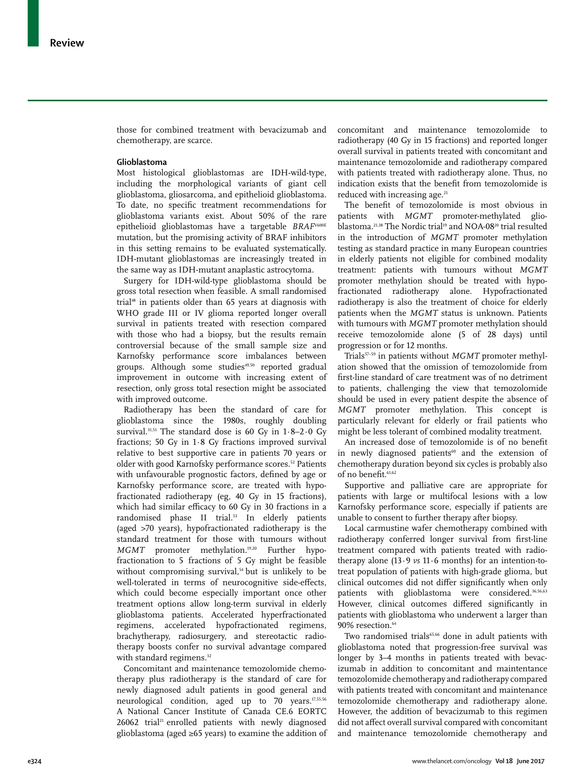those for combined treatment with bevacizumab and chemotherapy, are scarce.

# **Glioblastoma**

Most histological glioblastomas are IDH-wild-type, including the morphological variants of giant cell glioblastoma, gliosarcoma, and epithelioid glioblastoma. To date, no specific treatment recommendations for glioblastoma variants exist. About 50% of the rare epithelioid glioblastomas have a targetable *BRAF*<sup>V6001</sup> mutation, but the promising activity of BRAF inhibitors in this setting remains to be evaluated systematically. IDH-mutant glioblastomas are increasingly treated in the same way as IDH-mutant anaplastic astrocytoma.

Surgery for IDH-wild-type glioblastoma should be gross total resection when feasible. A small randomised trial<sup>48</sup> in patients older than 65 years at diagnosis with WHO grade III or IV glioma reported longer overall survival in patients treated with resection compared with those who had a biopsy, but the results remain controversial because of the small sample size and Karnofsky performance score imbalances between groups. Although some studies<sup>49,50</sup> reported gradual improvement in outcome with increasing extent of resection, only gross total resection might be associated with improved outcome.

Radiotherapy has been the standard of care for glioblastoma since the 1980s, roughly doubling survival.<sup>31,51</sup> The standard dose is 60 Gy in  $1.8-2.0$  Gy fractions; 50 Gy in 1·8 Gy fractions improved survival relative to best supportive care in patients 70 years or older with good Karnofsky performance scores.<sup>52</sup> Patients with unfavourable prognostic factors, defined by age or Karnofsky performance score, are treated with hypofractionated radiotherapy (eg, 40 Gy in 15 fractions), which had similar efficacy to 60 Gy in 30 fractions in a randomised phase II trial.<sup>53</sup> In elderly patients (aged >70 years), hypofractionated radiotherapy is the standard treatment for those with tumours without *MGMT* promoter methylation.<sup>19,20</sup> Further hypofractionation to 5 fractions of 5 Gy might be feasible without compromising survival, $54$  but is unlikely to be well-tolerated in terms of neurocognitive side-effects, which could become especially important once other treatment options allow long-term survival in elderly glioblastoma patients. Accelerated hyperfractionated regimens, accelerated hypofractionated regimens, brachytherapy, radiosurgery, and stereotactic radiotherapy boosts confer no survival advantage compared with standard regimens.<sup>32</sup>

Concomitant and maintenance temozolomide chemotherapy plus radiotherapy is the standard of care for newly diagnosed adult patients in good general and neurological condition, aged up to 70 years.17,55,56 A National Cancer Institute of Canada CE.6 EORTC  $26062$  trial<sup>21</sup> enrolled patients with newly diagnosed glioblastoma (aged ≥65 years) to examine the addition of concomitant and maintenance temozolomide to radiotherapy (40 Gy in 15 fractions) and reported longer overall survival in patients treated with concomitant and maintenance temozolomide and radiotherapy compared with patients treated with radiotherapy alone. Thus, no indication exists that the benefit from temozolomide is reduced with increasing age.<sup>21</sup>

The benefit of temozolomide is most obvious in patients with *MGMT* promoter-methylated glioblastoma.<sup>21,38</sup> The Nordic trial<sup>19</sup> and NOA-08<sup>20</sup> trial resulted in the introduction of *MGMT* promoter methylation testing as standard practice in many European countries in elderly patients not eligible for combined modality treatment: patients with tumours without *MGMT* promoter methylation should be treated with hypofractionated radiotherapy alone. Hypofractionated radiotherapy is also the treatment of choice for elderly patients when the *MGMT* status is unknown. Patients with tumours with *MGMT* promoter methylation should receive temozolomide alone (5 of 28 days) until progression or for 12 months.

Trials57–59 in patients without *MGMT* promoter methylation showed that the omission of temozolomide from first-line standard of care treatment was of no detriment to patients, challenging the view that temozolomide should be used in every patient despite the absence of *MGMT* promoter methylation. This concept is particularly relevant for elderly or frail patients who might be less tolerant of combined modality treatment.

An increased dose of temozolomide is of no benefit in newly diagnosed patients<sup>60</sup> and the extension of chemotherapy duration beyond six cycles is probably also of no benefit.<sup>61,62</sup>

Supportive and palliative care are appropriate for patients with large or multifocal lesions with a low Karnofsky performance score, especially if patients are unable to consent to further therapy after biopsy.

Local carmustine wafer chemotherapy combined with radiotherapy conferred longer survival from first-line treatment compared with patients treated with radiotherapy alone (13·9 *vs* 11·6 months) for an intention-totreat population of patients with high-grade glioma, but clinical outcomes did not differ significantly when only patients with glioblastoma were considered.<sup>36,56,63</sup> However, clinical outcomes differed significantly in patients with glioblastoma who underwent a larger than  $90\%$  resection  $64$ 

Two randomised trials<sup>65,66</sup> done in adult patients with glioblastoma noted that progression-free survival was longer by 3–4 months in patients treated with bevacizumab in addition to concomitant and maintentance temozolomide chemotherapy and radiotherapy compared with patients treated with concomitant and maintenance temozolomide chemotherapy and radiotherapy alone. However, the addition of bevacizumab to this regimen did not affect overall survival compared with concomitant and maintenance temozolomide chemotherapy and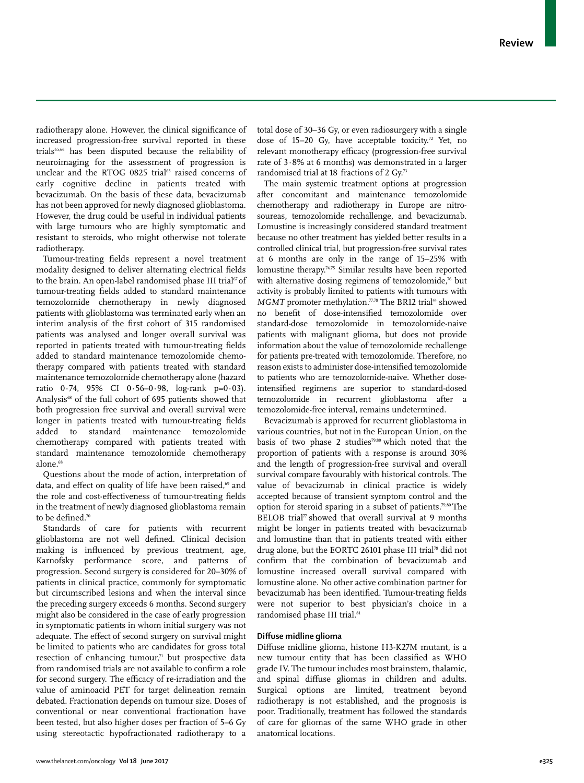radiotherapy alone. However, the clinical significance of increased progression-free survival reported in these trials65,66 has been disputed because the reliability of neuroimaging for the assessment of progression is unclear and the RTOG 0825 trial<sup>65</sup> raised concerns of early cognitive decline in patients treated with bevacizumab. On the basis of these data, bevacizumab has not been approved for newly diagnosed glioblastoma. However, the drug could be useful in individual patients with large tumours who are highly symptomatic and resistant to steroids, who might otherwise not tolerate radiotherapy.

Tumour-treating fields represent a novel treatment modality designed to deliver alternating electrical fields to the brain. An open-label randomised phase III trial<sup>67</sup> of tumour-treating fields added to standard maintenance temozolomide chemotherapy in newly diagnosed patients with glioblastoma was terminated early when an interim analysis of the first cohort of 315 randomised patients was analysed and longer overall survival was reported in patients treated with tumour-treating fields added to standard maintenance temozolomide chemotherapy compared with patients treated with standard maintenance temozolomide chemotherapy alone (hazard ratio 0·74, 95% CI 0·56–0·98, log-rank p=0·03). Analysis<sup>68</sup> of the full cohort of 695 patients showed that both progression free survival and overall survival were longer in patients treated with tumour-treating fields added to standard maintenance temozolomide chemotherapy compared with patients treated with standard maintenance temozolomide chemotherapy alone.<sup>68</sup>

Questions about the mode of action, interpretation of data, and effect on quality of life have been raised,<sup>69</sup> and the role and cost-effectiveness of tumour-treating fields in the treatment of newly diagnosed glioblastoma remain to be defined.<sup>70</sup>

Standards of care for patients with recurrent glioblastoma are not well defined. Clinical decision making is influenced by previous treatment, age, Karnofsky performance score, and patterns of progression. Second surgery is considered for 20–30% of patients in clinical practice, commonly for symptomatic but circumscribed lesions and when the interval since the preceding surgery exceeds 6 months. Second surgery might also be considered in the case of early progression in symptomatic patients in whom initial surgery was not adequate. The effect of second surgery on survival might be limited to patients who are candidates for gross total resection of enhancing tumour, $71$  but prospective data from randomised trials are not available to confirm a role for second surgery. The efficacy of re-irradiation and the value of aminoacid PET for target delineation remain debated. Fractionation depends on tumour size. Doses of conventional or near conventional fractionation have been tested, but also higher doses per fraction of 5–6 Gy using stereotactic hypofractionated radiotherapy to a total dose of 30–36 Gy, or even radiosurgery with a single dose of 15–20 Gy, have acceptable toxicity.<sup>72</sup> Yet, no relevant monotherapy efficacy (progression-free survival rate of 3·8% at 6 months) was demonstrated in a larger randomised trial at 18 fractions of 2 Gy.<sup>73</sup>

The main systemic treatment options at progression after concomitant and maintenance temozolomide chemotherapy and radiotherapy in Europe are nitrosoureas, temozolomide rechallenge, and bevacizumab. Lomustine is increasingly considered standard treatment because no other treatment has yielded better results in a controlled clinical trial, but progression-free survival rates at 6 months are only in the range of 15–25% with lomustine therapy.74,**<sup>75</sup>** Similar results have been reported with alternative dosing regimens of temozolomide,<sup>76</sup> but activity is probably limited to patients with tumours with *MGMT* promoter methylation.<sup>77,78</sup> The BR12 trial<sup>44</sup> showed no benefit of dose-intensified temozolomide over standard-dose temozolomide in temozolomide-naive patients with malignant glioma, but does not provide information about the value of temozolomide rechallenge for patients pre-treated with temozolomide. Therefore, no reason exists to administer dose-intensified temozolomide to patients who are temozolomide-naive. Whether doseintensified regimens are superior to standard-dosed temozolomide in recurrent glioblastoma after a temozolomide-free interval, remains undetermined.

Bevacizumab is approved for recurrent glioblastoma in various countries, but not in the European Union, on the basis of two phase 2 studies<sup>79,80</sup> which noted that the proportion of patients with a response is around 30% and the length of progression-free survival and overall survival compare favourably with historical controls. The value of bevacizumab in clinical practice is widely accepted because of transient symptom control and the option for steroid sparing in a subset of patients.79,80 The BELOB trial<sup> $7$ </sup> showed that overall survival at 9 months might be longer in patients treated with bevacizumab and lomustine than that in patients treated with either drug alone, but the EORTC 26101 phase III trial<sup>78</sup> did not confirm that the combination of bevacizumab and lomustine increased overall survival compared with lomustine alone. No other active combination partner for bevacizumab has been identified. Tumour-treating fields were not superior to best physician's choice in a randomised phase III trial.<sup>81</sup>

# **Diffuse midline glioma**

Diffuse midline glioma, histone H3-K27M mutant, is a new tumour entity that has been classified as WHO grade IV. The tumour includes most brainstem, thalamic, and spinal diffuse gliomas in children and adults. Surgical options are limited, treatment beyond radiotherapy is not established, and the prognosis is poor. Traditionally, treatment has followed the standards of care for gliomas of the same WHO grade in other anatomical locations.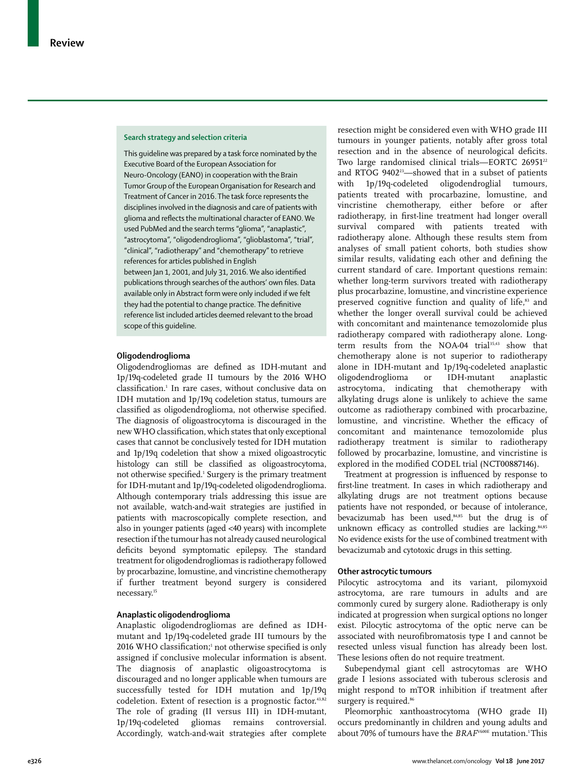#### **Search strategy and selection criteria**

This guideline was prepared by a task force nominated by the Executive Board of the European Association for Neuro-Oncology (EANO) in cooperation with the Brain Tumor Group of the European Organisation for Research and Treatment of Cancer in 2016. The task force represents the disciplines involved in the diagnosis and care of patients with glioma and reflects the multinational character of EANO. We used PubMed and the search terms "glioma", "anaplastic", "astrocytoma", "oligodendroglioma", "glioblastoma", "trial", "clinical", "radiotherapy" and "chemotherapy" to retrieve references for articles published in English between Jan 1, 2001, and July 31, 2016. We also identified publications through searches of the authors' own files. Data available only in Abstract form were only included if we felt they had the potential to change practice. The definitive reference list included articles deemed relevant to the broad scope of this guideline.

#### **Oligodendroglioma**

Oligodendrogliomas are defined as IDH-mutant and 1p/19q-codeleted grade II tumours by the 2016 WHO classification.1 In rare cases, without conclusive data on IDH mutation and 1p/19q codeletion status, tumours are classified as oligodendroglioma, not otherwise specified. The diagnosis of oligoastrocytoma is discouraged in the new WHO classification, which states that only exceptional cases that cannot be conclusively tested for IDH mutation and 1p/19q codeletion that show a mixed oligoastrocytic histology can still be classified as oligoastrocytoma, not otherwise specified.1 Surgery is the primary treatment for IDH-mutant and 1p/19q-codeleted oligodendroglioma. Although contemporary trials addressing this issue are not available, watch-and-wait strategies are justified in patients with macroscopically complete resection, and also in younger patients (aged <40 years) with incomplete resection if the tumour has not already caused neurological deficits beyond symptomatic epilepsy. The standard treatment for oligodendrogliomas is radiotherapy followed by procarbazine, lomustine, and vincristine chemotherapy if further treatment beyond surgery is considered necessary.15

#### **Anaplastic oligodendroglioma**

Anaplastic oligodendrogliomas are defined as IDHmutant and 1p/19q-codeleted grade III tumours by the 2016 WHO classification;<sup>1</sup> not otherwise specified is only assigned if conclusive molecular information is absent. The diagnosis of anaplastic oligoastrocytoma is discouraged and no longer applicable when tumours are successfully tested for IDH mutation and 1p/19q codeletion. Extent of resection is a prognostic factor.<sup>43,82</sup> The role of grading (II versus III) in IDH-mutant, 1p/19q-codeleted gliomas remains controversial. Accordingly, watch-and-wait strategies after complete

resection might be considered even with WHO grade III tumours in younger patients, notably after gross total resection and in the absence of neurological deficits. Two large randomised clinical trials—EORTC 26951<sup>22</sup> and RTOG 9402<sup>23</sup>—showed that in a subset of patients with 1p/19q-codeleted oligodendroglial tumours, patients treated with procarbazine, lomustine, and vincristine chemotherapy, either before or after radiotherapy, in first-line treatment had longer overall survival compared with patients treated with radiotherapy alone. Although these results stem from analyses of small patient cohorts, both studies show similar results, validating each other and defining the current standard of care. Important questions remain: whether long-term survivors treated with radiotherapy plus procarbazine, lomustine, and vincristine experience preserved cognitive function and quality of life,<sup>83</sup> and whether the longer overall survival could be achieved with concomitant and maintenance temozolomide plus radiotherapy compared with radiotherapy alone. Longterm results from the NOA-04 trial<sup>35,43</sup> show that chemotherapy alone is not superior to radiotherapy alone in IDH-mutant and 1p/19q-codeleted anaplastic oligodendroglioma or IDH-mutant anaplastic astrocytoma, indicating that chemotherapy with alkylating drugs alone is unlikely to achieve the same outcome as radiotherapy combined with procarbazine, lomustine, and vincristine. Whether the efficacy of concomitant and maintenance temozolomide plus radiotherapy treatment is similar to radiotherapy followed by procarbazine, lomustine, and vincristine is explored in the modified CODEL trial (NCT00887146).

Treatment at progression is influenced by response to first-line treatment. In cases in which radiotherapy and alkylating drugs are not treatment options because patients have not responded, or because of intolerance, bevacizumab has been used,<sup>84,85</sup> but the drug is of unknown efficacy as controlled studies are lacking.<sup>84,85</sup> No evidence exists for the use of combined treatment with bevacizumab and cytotoxic drugs in this setting.

# **Other astrocytic tumours**

Pilocytic astrocytoma and its variant, pilomyxoid astrocytoma, are rare tumours in adults and are commonly cured by surgery alone. Radiotherapy is only indicated at progression when surgical options no longer exist. Pilocytic astrocytoma of the optic nerve can be associated with neurofibromatosis type I and cannot be resected unless visual function has already been lost. These lesions often do not require treatment.

Subependymal giant cell astrocytomas are WHO grade I lesions associated with tuberous sclerosis and might respond to mTOR inhibition if treatment after surgery is required.<sup>86</sup>

Pleomorphic xanthoastrocytoma (WHO grade II) occurs predominantly in children and young adults and about 70% of tumours have the *BRAF*<sup>V600E</sup> mutation.<sup>1</sup>This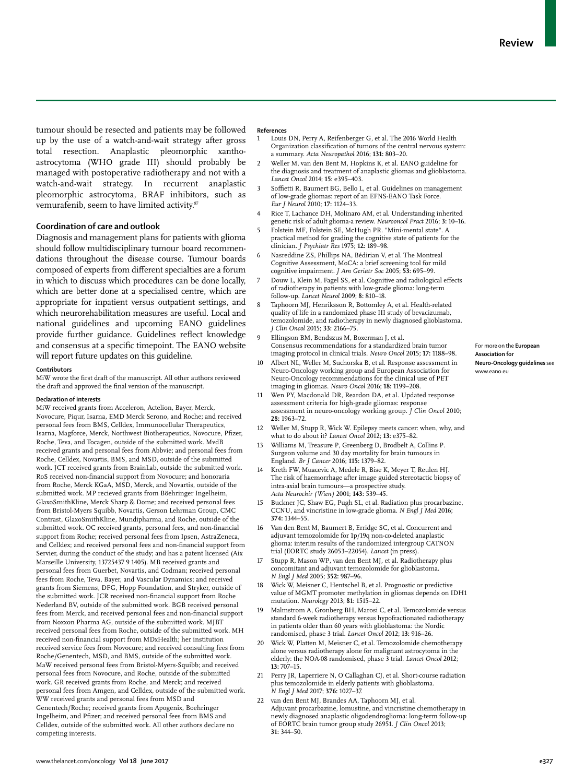tumour should be resected and patients may be followed up by the use of a watch-and-wait strategy after gross total resection. Anaplastic pleomorphic xanthoastrocytoma (WHO grade III) should probably be managed with postoperative radiotherapy and not with a watch-and-wait strategy. In recurrent anaplastic pleomorphic astrocytoma, BRAF inhibitors, such as vemurafenib, seem to have limited activity.<sup>87</sup>

#### **Coordination of care and outlook**

Diagnosis and management plans for patients with glioma should follow multidisciplinary tumour board recommendations throughout the disease course. Tumour boards composed of experts from different specialties are a forum in which to discuss which procedures can be done locally, which are better done at a specialised centre, which are appropriate for inpatient versus outpatient settings, and which neurorehabilitation measures are useful. Local and national guidelines and upcoming EANO guidelines provide further guidance. Guidelines reflect knowledge and consensus at a specific timepoint. The EANO [website](http://www.eano.eu)  will report future updates on this guideline.

#### **Contributors**

MiW wrote the first draft of the manuscript. All other authors reviewed the draft and approved the final version of the manuscript.

#### **Declaration of interests**

MiW received grants from Acceleron, Actelion, Bayer, Merck, Novocure, Piqur, Isarna, EMD Merck Serono, and Roche; and received personal fees from BMS, Celldex, Immunocellular Therapeutics, Isarna, Magforce, Merck, Northwest Biotherapeutics, Novocure, Pfizer, Roche, Teva, and Tocagen, outside of the submitted work. MvdB received grants and personal fees from Abbvie; and personal fees from Roche, Celldex, Novartis, BMS, and MSD, outside of the submitted work. JCT received grants from BrainLab, outside the submitted work. RoS received non-financial support from Novocure; and honoraria from Roche, Merck KGaA, MSD, Merck, and Novartis, outside of the submitted work. MP recieved grants from Böehringer Ingelheim, GlaxoSmithKline, Merck Sharp & Dome; and received personal fees from Bristol-Myers Squibb, Novartis, Gerson Lehrman Group, CMC Contrast, GlaxoSmithKline, Mundipharma, and Roche, outside of the submitted work. OC received grants, personal fees, and non-financial support from Roche; received personal fees from Ipsen, AstraZeneca, and Celldex; and received personal fees and non-financial support from Servier, during the conduct of the study; and has a patent licensed (Aix Marseille University, 13725437 9 1405). MB received grants and personal fees from Guerbet, Novartis, and Codman; received personal fees from Roche, Teva, Bayer, and Vascular Dynamics; and received grants from Siemens, DFG, Hopp Foundation, and Stryker, outside of the submitted work. JCR received non-financial support from Roche Nederland BV, outside of the submitted work. BGB received personal fees from Merck, and received personal fees and non-financial support from Noxxon Pharma AG, outside of the submitted work. MJBT received personal fees from Roche, outside of the submitted work. MH received non-financial support from MDxHealth; her institution received service fees from Novocure; and received consulting fees from Roche/Genentech, MSD, and BMS, outside of the submitted work. MaW received personal fees from Bristol-Myers-Squibb; and received personal fees from Novocure, and Roche, outside of the submitted work. GR received grants from Roche, and Merck; and received personal fees from Amgen, and Celldex, outside of the submitted work. WW received grants and personal fees from MSD and Genentech/Roche; received grants from Apogenix, Boehringer Ingelheim, and Pfizer; and received personal fees from BMS and Celldex, outside of the submitted work. All other authors declare no competing interests.

#### **References**

- 1 Louis DN, Perry A, Reifenberger G, et al. The 2016 World Health Organization classification of tumors of the central nervous system: a summary. *Acta Neuropathol* 2016; **131:** 803–20.
- 2 Weller M, van den Bent M, Hopkins K, et al. EANO guideline for the diagnosis and treatment of anaplastic gliomas and glioblastoma. *Lancet Oncol* 2014; **15:** e395–403.
- 3 Soffietti R, Baumert BG, Bello L, et al. Guidelines on management of low-grade gliomas: report of an EFNS-EANO Task Force. *Eur J Neurol* 2010; **17:** 1124–33.
- Rice T, Lachance DH, Molinaro AM, et al. Understanding inherited genetic risk of adult glioma-a review. *Neurooncol Pract* 2016; **3:** 10–16.
- 5 Folstein MF, Folstein SE, McHugh PR. "Mini-mental state". A practical method for grading the cognitive state of patients for the clinician. *J Psychiatr Res* 1975; **12:** 189–98.
- 6 Nasreddine ZS, Phillips NA, Bédirian V, et al. The Montreal Cognitive Assessment, MoCA: a brief screening tool for mild cognitive impairment. *J Am Geriatr Soc* 2005; **53:** 695–99.
- 7 Douw L, Klein M, Fagel SS, et al. Cognitive and radiological effects of radiotherapy in patients with low-grade glioma: long-term follow-up. *Lancet Neurol* 2009; **8:** 810–18.
- 8 Taphoorn MJ, Henriksson R, Bottomley A, et al. Health-related quality of life in a randomized phase III study of bevacizumab, temozolomide, and radiotherapy in newly diagnosed glioblastoma. *J Clin Oncol* 2015; **33:** 2166–75.
- 9 Ellingson BM, Bendszus M, Boxerman J, et al. Consensus recommendations for a standardized brain tumor imaging protocol in clinical trials. *Neuro Oncol* 2015; **17:** 1188–98.
- Albert NL, Weller M, Suchorska B, et al. Response assessment in Neuro-Oncology working group and European Association for Neuro-Oncology recommendations for the clinical use of PET imaging in gliomas. *Neuro Oncol* 2016; **18:** 1199–208.
- 11 Wen PY, Macdonald DR, Reardon DA, et al. Updated response assessment criteria for high-grade gliomas: response assessment in neuro-oncology working group. *J Clin Oncol* 2010; **28:** 1963–72.
- Weller M, Stupp R, Wick W. Epilepsy meets cancer: when, why, and what to do about it? *Lancet Oncol* 2012; **13:** e375–82.
- Williams M, Treasure P, Greenberg D, Brodbelt A, Collins P. Surgeon volume and 30 day mortality for brain tumours in England. *Br J Cancer* 2016; **115:** 1379–82.
- Kreth FW, Muacevic A, Medele R, Bise K, Meyer T, Reulen HJ. The risk of haemorrhage after image guided stereotactic biopsy of intra-axial brain tumours—a prospective study. *Acta Neurochir (Wien)* 2001; **143:** 539–45.
- 15 Buckner JC, Shaw EG, Pugh SL, et al. Radiation plus procarbazine, CCNU, and vincristine in low-grade glioma. *N Engl J Med* 2016; **374:** 1344–55.
- Van den Bent M, Baumert B, Erridge SC, et al. Concurrent and adjuvant temozolomide for 1p/19q non-co-deleted anaplastic glioma: interim results of the randomized intergroup CATNON trial (EORTC study 26053–22054). *Lancet* (in press).
- 17 Stupp R, Mason WP, van den Bent MJ, et al. Radiotherapy plus concomitant and adjuvant temozolomide for glioblastoma. *N Engl J Med* 2005; **352:** 987–96.
- 18 Wick W, Meisner C, Hentschel B, et al. Prognostic or predictive value of MGMT promoter methylation in gliomas depends on IDH1 mutation. *Neurology* 2013; **81:** 1515–22.
- 19 Malmstrom A, Gronberg BH, Marosi C, et al. Temozolomide versus standard 6-week radiotherapy versus hypofractionated radiotherapy in patients older than 60 years with glioblastoma: the Nordic randomised, phase 3 trial. *Lancet Oncol* 2012; **13:** 916–26.
- 20 Wick W, Platten M, Meisner C, et al. Temozolomide chemotherapy alone versus radiotherapy alone for malignant astrocytoma in the elderly: the NOA-08 randomised, phase 3 trial. *Lancet Oncol* 2012; **13:** 707–15.
- 21 Perry JR, Laperriere N, O'Callaghan CJ, et al. Short-course radiation plus temozolomide in elderly patients with glioblastoma. *N Engl J Med* 2017; **376:** 1027–37.
- 22 van den Bent MJ, Brandes AA, Taphoorn MJ, et al. Adjuvant procarbazine, lomustine, and vincristine chemotherapy in newly diagnosed anaplastic oligodendroglioma: long-term follow-up of EORTC brain tumor group study 26951. *J Clin Oncol* 2013; **31:** 344–50.

For more on the **European Association for Neuro-Oncology guidelines** see www.eano.eu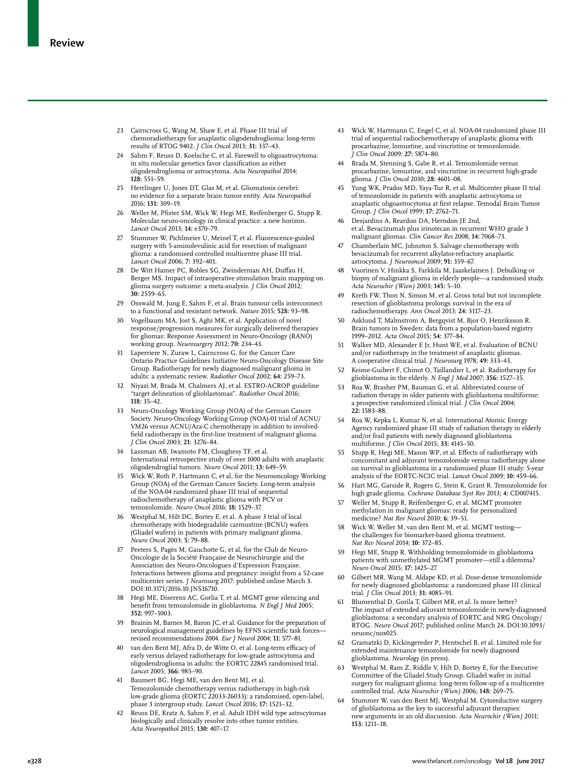- 23 Cairncross G, Wang M, Shaw E, et al. Phase III trial of chemoradiotherapy for anaplastic oligodendroglioma: long-term results of RTOG 9402. *J Clin Oncol* 2013; **31:** 337–43.
- Sahm F, Reuss D, Koelsche C, et al. Farewell to oligoastrocytoma: in situ molecular genetics favor classification as either oligodendroglioma or astrocytoma. *Acta Neuropathol* 2014; **128:** 551–59.
- 25 Herrlinger U, Jones DT, Glas M, et al. Gliomatosis cerebri: no evidence for a separate brain tumor entity. *Acta Neuropathol* 2016; **131:** 309–19.
- 26 Weller M, Pfister SM, Wick W, Hegi ME, Reifenberger G, Stupp R. Molecular neuro-oncology in clinical practice: a new horizon. *Lancet Oncol* 2013; **14:** e370–79.
- Stummer W, Pichlmeier U, Meinel T, et al. Fluorescence-guided surgery with 5-aminolevulinic acid for resection of malignant glioma: a randomised controlled multicentre phase III trial. *Lancet Oncol* 2006; **7:** 392–401.
- 28 De Witt Hamer PC, Robles SG, Zwinderman AH, Duffau H, Berger MS. Impact of intraoperative stimulation brain mapping on glioma surgery outcome: a meta-analysis. *J Clin Oncol* 2012; **30:** 2559–65.
- 29 Osswald M, Jung E, Sahm F, et al. Brain tumour cells interconnect to a functional and resistant network. *Nature* 2015; **528:** 93–98.
- 30 Vogelbaum MA, Jost S, Aghi MK, et al. Application of novel response/progression measures for surgically delivered therapies for gliomas: Response Assessment in Neuro-Oncology (RANO) working group. *Neurosurgery* 2012; **70:** 234–43.
- 31 Laperriere N, Zuraw L, Cairncross G, for the Cancer Care Ontario Practice Guidelines Initiative Neuro-Oncology Disease Site Group. Radiotherapy for newly diagnosed malignant glioma in adults: a systematic review. *Radiother Oncol* 2002; **64:** 259–73.
- 32 Niyazi M, Brada M, Chalmers AJ, et al. ESTRO-ACROP guideline "target delineation of glioblastomas". *Radiother Oncol* 2016; **118:** 35–42.
- 33 Neuro-Oncology Working Group (NOA) of the German Cancer Society. Neuro-Oncology Working Group (NOA)-01 trial of ACNU/ VM26 versus ACNU/Ara-C chemotherapy in addition to involvedfield radiotherapy in the first-line treatment of malignant glioma. *J Clin Oncol* 2003; **21:** 3276–84.
- 34 Lassman AB, Iwamoto FM, Cloughesy TF, et al. International retrospective study of over 1000 adults with anaplastic oligodendroglial tumors. *Neuro Oncol* 2011; **13:** 649–59.
- 35 Wick W, Roth P, Hartmann C, et al, for the Neurooncology Working Group (NOA) of the German Cancer Society. Long-term analysis of the NOA-04 randomized phase III trial of sequential radiochemotherapy of anaplastic glioma with PCV or temozolomide. *Neuro Oncol* 2016; **18:** 1529–37.
- 36 Westphal M, Hilt DC, Bortey E, et al. A phase 3 trial of local chemotherapy with biodegradable carmustine (BCNU) wafers (Gliadel wafers) in patients with primary malignant glioma. *Neuro Oncol* 2003; **5:** 79–88.
- 37 Peeters S, Pagès M, Gauchotte G, et al, for the Club de Neuro-Oncologie de la Société Française de Neurochirurgie and the Association des Neuro-Oncologues d'Expression Française. Interactions between glioma and pregnancy: insight from a 52-case multicenter series. *J Neurosurg* 2017: published online March 3. DOI:10.3171/2016.10.JNS16710.
- 38 Hegi ME, Diserens AC, Gorlia T, et al. MGMT gene silencing and benefit from temozolomide in glioblastoma. *N Engl J Med* 2005; **352:** 997–1003.
- 39 Brainin M, Barnes M, Baron JC, et al. Guidance for the preparation of neurological management guidelines by EFNS scientific task forces revised recommendations 2004. *Eur J Neurol* 2004; **11:** 577–81.
- 40 van den Bent MJ, Afra D, de Witte O, et al. Long-term efficacy of early versus delayed radiotherapy for low-grade astrocytoma and oligodendroglioma in adults: the EORTC 22845 randomised trial. *Lancet* 2005; **366:** 985–90.
- Baumert BG, Hegi ME, van den Bent MJ, et al. Temozolomide chemotherapy versus radiotherapy in high-risk low-grade glioma (EORTC 22033-26033): a randomised, open-label, phase 3 intergroup study. *Lancet Oncol* 2016; **17:** 1521–32.
- Reuss DE, Kratz A, Sahm F, et al. Adult IDH wild type astrocytomas biologically and clinically resolve into other tumor entities. *Acta Neuropathol* 2015; **130:** 407–17.
- Wick W, Hartmann C, Engel C, et al. NOA-04 randomized phase III trial of sequential radiochemotherapy of anaplastic glioma with procarbazine, lomustine, and vincristine or temozolomide. *J Clin Oncol* 2009; **27:** 5874–80.
- 44 Brada M, Stenning S, Gabe R, et al. Temozolomide versus procarbazine, lomustine, and vincristine in recurrent high-grade glioma. *J Clin Oncol* 2010; **28:** 4601–08.
- Yung WK, Prados MD, Yaya-Tur R, et al. Multicenter phase II trial of temozolomide in patients with anaplastic astrocytoma or anaplastic oligoastrocytoma at first relapse. Temodal Brain Tumor Group. *J Clin Oncol* 1999; **17:** 2762–71.
- 46 Desjardins A, Reardon DA, Herndon JE 2nd, et al. Bevacizumab plus irinotecan in recurrent WHO grade 3 malignant gliomas. *Clin Cancer Res* 2008; **14:** 7068–73.
- 47 Chamberlain MC, Johnston S. Salvage chemotherapy with bevacizumab for recurrent alkylator-refractory anaplastic astrocytoma. *J Neurooncol* 2009; **91:** 359–67.
- 48 Vuorinen V, Hinkka S, Farkkila M, Jaaskelainen J. Debulking or biopsy of malignant glioma in elderly people—a randomised study. *Acta Neurochir (Wien)* 2003; **145:** 5–10.
- Kreth FW, Thon N, Simon M, et al. Gross total but not incomplete resection of glioblastoma prolongs survival in the era of radiochemotherapy. *Ann Oncol* 2013; **24:** 3117–23.
- Asklund T, Malmstrom A, Bergqvist M, Bjor O, Henriksson R. Brain tumors in Sweden: data from a population-based registry 1999–2012. *Acta Oncol* 2015; **54:** 377–84.
- 51 Walker MD, Alexander E Jr, Hunt WE, et al. Evaluation of BCNU and/or radiotherapy in the treatment of anaplastic gliomas. A cooperative clinical trial. *J Neurosurg* 1978; **49:** 333–43.
- Keime-Guibert F, Chinot O, Taillandier L, et al. Radiotherapy for glioblastoma in the elderly. *N Engl J Med* 2007; **356:** 1527–35.
- 53 Roa W, Brasher PM, Bauman G, et al. Abbreviated course of radiation therapy in older patients with glioblastoma multiforme: a prospective randomized clinical trial. *J Clin Oncol* 2004; **22:** 1583–88.
- Roa W, Kepka L, Kumar N, et al. International Atomic Energy Agency randomized phase III study of radiation therapy in elderly and/or frail patients with newly diagnosed glioblastoma multiforme. *J Clin Oncol* 2015; **33:** 4145–50.
- 55 Stupp R, Hegi ME, Mason WP, et al. Effects of radiotherapy with concomitant and adjuvant temozolomide versus radiotherapy alone on survival in glioblastoma in a randomised phase III study: 5-year analysis of the EORTC-NCIC trial. *Lancet Oncol* 2009; **10:** 459–66.
- Hart MG, Garside R, Rogers G, Stein K, Grant R. Temozolomide for high grade glioma. *Cochrane Database Syst Rev* 2013; **4:** CD007415.
- 57 Weller M, Stupp R, Reifenberger G, et al. MGMT promoter methylation in malignant gliomas: ready for personalized medicine? *Nat Rev Neurol* 2010; **6:** 39–51.
- 58 Wick W, Weller M, van den Bent M, et al. MGMT testing the challenges for biomarker-based glioma treatment. *Nat Rev Neurol* 2014; **10:** 372–85.
- Hegi ME, Stupp R. Withholding temozolomide in glioblastoma patients with unmethylated MGMT promoter—still a dilemma? *Neuro Oncol* 2015; **17:** 1425–27.
- 60 Gilbert MR, Wang M, Aldape KD, et al. Dose-dense temozolomide for newly diagnosed glioblastoma: a randomized phase III clinical trial. *J Clin Oncol* 2013; **31:** 4085–91.
- Blumenthal D, Gorila T, Gilbert MR, et al. Is more better? The impact of extended adjuvant temozolomide in newly-diagnosed glioblastoma: a secondary analysis of EORTC and NRG Oncology/ RTOG. *Neuro Oncol* 2017; published online March 24. DOI:10.1093/ neuonc/nox025.
- 62 Gramatzki D, Kickingereder P, Hentschel B, et al. Limited role for extended maintenance temozolomide for newly diagnosed glioblastoma. *Neurology* (in press).
- Westphal M, Ram Z, Riddle V, Hilt D, Bortey E, for the Executive Committee of the Gliadel Study Group. Gliadel wafer in initial surgery for malignant glioma: long-term follow-up of a multicenter controlled trial. *Acta Neurochir (Wien)* 2006; **148:** 269–75.
- 64 Stummer W, van den Bent MJ, Westphal M. Cytoreductive surgery of glioblastoma as the key to successful adjuvant therapies: new arguments in an old discussion. *Acta Neurochir (Wien)* 2011; **153:** 1211–18.